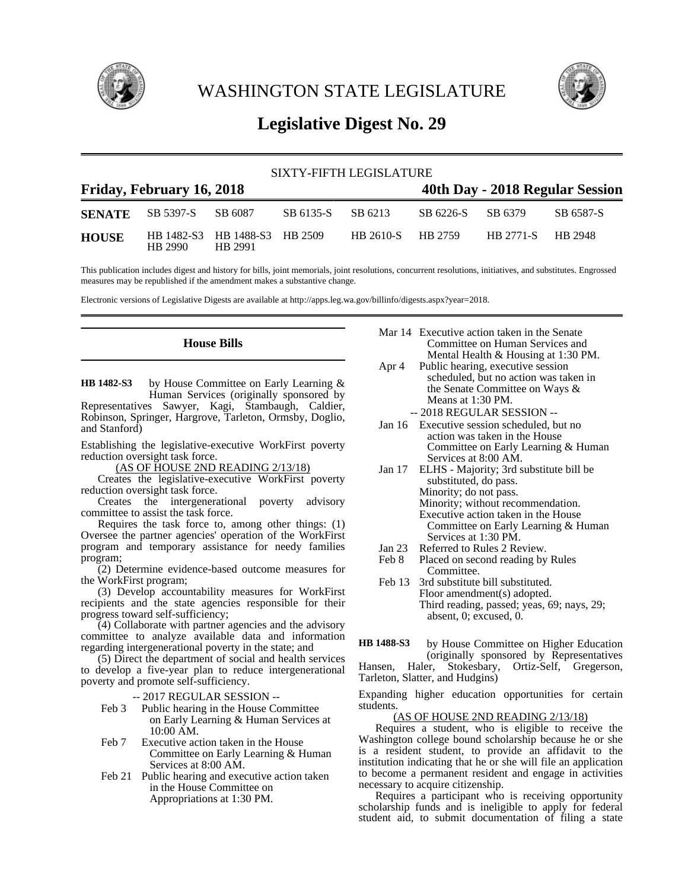

WASHINGTON STATE LEGISLATURE



# **Legislative Digest No. 29**

|                           |                                 |                                          |           | SIXTY-FIFTH LEGISLATURE |                   |                   |                                 |  |
|---------------------------|---------------------------------|------------------------------------------|-----------|-------------------------|-------------------|-------------------|---------------------------------|--|
| Friday, February 16, 2018 |                                 |                                          |           |                         |                   |                   | 40th Day - 2018 Regular Session |  |
|                           | <b>SENATE</b> SB 5397-S SB 6087 |                                          | SB 6135-S | SB 6213                 | SB 6226-S SB 6379 |                   | SB 6587-S                       |  |
| <b>HOUSE</b>              | HB 2990                         | HB 1482-S3 HB 1488-S3 HB 2509<br>HB 2991 |           | HB 2610-S               | HB 2759           | HB 2771-S HB 2948 |                                 |  |

This publication includes digest and history for bills, joint memorials, joint resolutions, concurrent resolutions, initiatives, and substitutes. Engrossed measures may be republished if the amendment makes a substantive change.

Electronic versions of Legislative Digests are available at http://apps.leg.wa.gov/billinfo/digests.aspx?year=2018.

# **House Bills**

by House Committee on Early Learning & Human Services (originally sponsored by Representatives Sawyer, Kagi, Stambaugh, Caldier, Robinson, Springer, Hargrove, Tarleton, Ormsby, Doglio, and Stanford) **HB 1482-S3**

Establishing the legislative-executive WorkFirst poverty reduction oversight task force.

(AS OF HOUSE 2ND READING 2/13/18)

Creates the legislative-executive WorkFirst poverty reduction oversight task force.

Creates the intergenerational poverty advisory committee to assist the task force.

Requires the task force to, among other things: (1) Oversee the partner agencies' operation of the WorkFirst program and temporary assistance for needy families program;

(2) Determine evidence-based outcome measures for the WorkFirst program;

(3) Develop accountability measures for WorkFirst recipients and the state agencies responsible for their progress toward self-sufficiency;

(4) Collaborate with partner agencies and the advisory committee to analyze available data and information regarding intergenerational poverty in the state; and

(5) Direct the department of social and health services to develop a five-year plan to reduce intergenerational poverty and promote self-sufficiency.

-- 2017 REGULAR SESSION --

- Feb 3 Public hearing in the House Committee on Early Learning & Human Services at 10:00 AM.
- Feb 7 Executive action taken in the House Committee on Early Learning & Human Services at 8:00 AM.
- Feb 21 Public hearing and executive action taken in the House Committee on Appropriations at 1:30 PM.
- Mar 14 Executive action taken in the Senate Committee on Human Services and Mental Health & Housing at 1:30 PM.
- Apr 4 Public hearing, executive session scheduled, but no action was taken in the Senate Committee on Ways & Means at 1:30 PM. -- 2018 REGULAR SESSION --
- Jan 16 Executive session scheduled, but no action was taken in the House Committee on Early Learning & Human Services at 8:00 AM.
- Jan 17 ELHS Majority; 3rd substitute bill be substituted, do pass. Minority; do not pass. Minority; without recommendation. Executive action taken in the House Committee on Early Learning & Human Services at 1:30 PM.
- Jan 23 Referred to Rules 2 Review.<br>Feb 8 Placed on second reading by
- Placed on second reading by Rules Committee.
- Feb 13 3rd substitute bill substituted. Floor amendment(s) adopted. Third reading, passed; yeas, 69; nays, 29; absent, 0; excused, 0.

by House Committee on Higher Education (originally sponsored by Representatives Hansen, Haler, Stokesbary, Ortiz-Self, Gregerson, Tarleton, Slatter, and Hudgins) **HB 1488-S3**

Expanding higher education opportunities for certain students.

#### (AS OF HOUSE 2ND READING 2/13/18)

Requires a student, who is eligible to receive the Washington college bound scholarship because he or she is a resident student, to provide an affidavit to the institution indicating that he or she will file an application to become a permanent resident and engage in activities necessary to acquire citizenship.

Requires a participant who is receiving opportunity scholarship funds and is ineligible to apply for federal student aid, to submit documentation of filing a state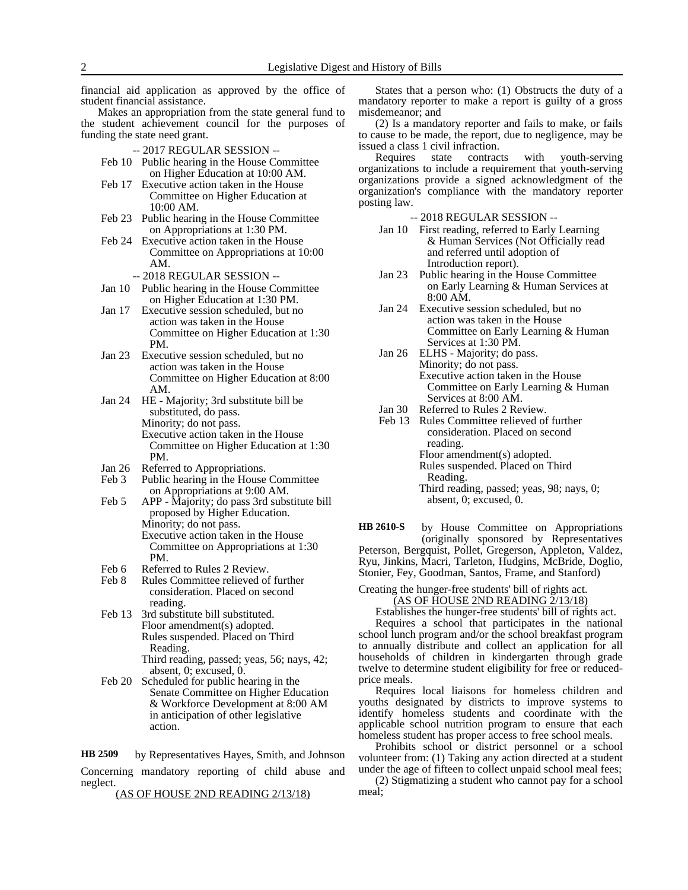financial aid application as approved by the office of student financial assistance.

Makes an appropriation from the state general fund to the student achievement council for the purposes of funding the state need grant.

-- 2017 REGULAR SESSION --

- Feb 10 Public hearing in the House Committee on Higher Education at 10:00 AM.
- Feb 17 Executive action taken in the House Committee on Higher Education at 10:00 AM.
- Feb 23 Public hearing in the House Committee on Appropriations at 1:30 PM.
- Feb 24 Executive action taken in the House Committee on Appropriations at 10:00 AM.
	- -- 2018 REGULAR SESSION --
- Jan 10 Public hearing in the House Committee on Higher Education at 1:30 PM.
- Jan 17 Executive session scheduled, but no action was taken in the House Committee on Higher Education at 1:30 PM.
- Jan 23 Executive session scheduled, but no action was taken in the House Committee on Higher Education at 8:00 AM.
- Jan 24 HE Majority; 3rd substitute bill be substituted, do pass. Minority; do not pass. Executive action taken in the House Committee on Higher Education at 1:30 PM.
- Jan 26 Referred to Appropriations.
- Feb 3 Public hearing in the House Committee on Appropriations at 9:00 AM.
- Feb 5 APP Majority; do pass 3rd substitute bill proposed by Higher Education. Minority; do not pass. Executive action taken in the House Committee on Appropriations at 1:30 PM.
- Feb 6 Referred to Rules 2 Review.<br>Feb 8 Rules Committee relieved of
- Rules Committee relieved of further consideration. Placed on second reading.
- Feb 13 3rd substitute bill substituted. Floor amendment(s) adopted. Rules suspended. Placed on Third Reading.
	- Third reading, passed; yeas, 56; nays, 42; absent, 0; excused, 0.
- Feb 20 Scheduled for public hearing in the Senate Committee on Higher Education & Workforce Development at 8:00 AM in anticipation of other legislative action.

by Representatives Hayes, Smith, and Johnson Concerning mandatory reporting of child abuse and neglect. **HB 2509**

(AS OF HOUSE 2ND READING 2/13/18)

States that a person who: (1) Obstructs the duty of a mandatory reporter to make a report is guilty of a gross misdemeanor; and

(2) Is a mandatory reporter and fails to make, or fails to cause to be made, the report, due to negligence, may be issued a class 1 civil infraction.

Requires state contracts with youth-serving organizations to include a requirement that youth-serving organizations provide a signed acknowledgment of the organization's compliance with the mandatory reporter posting law.

-- 2018 REGULAR SESSION --

- Jan 10 First reading, referred to Early Learning & Human Services (Not Officially read and referred until adoption of Introduction report).
- Jan 23 Public hearing in the House Committee on Early Learning & Human Services at 8:00 AM.
- Jan 24 Executive session scheduled, but no action was taken in the House Committee on Early Learning & Human Services at 1:30 PM.
- Jan 26 ELHS Majority; do pass. Minority; do not pass. Executive action taken in the House Committee on Early Learning & Human Services at 8:00 AM.
- Jan 30 Referred to Rules 2 Review.<br>Feb 13 Rules Committee relieved of
- Rules Committee relieved of further consideration. Placed on second reading. Floor amendment(s) adopted. Rules suspended. Placed on Third Reading.
	- Third reading, passed; yeas, 98; nays, 0; absent, 0; excused, 0.

by House Committee on Appropriations (originally sponsored by Representatives Peterson, Bergquist, Pollet, Gregerson, Appleton, Valdez, Ryu, Jinkins, Macri, Tarleton, Hudgins, McBride, Doglio, Stonier, Fey, Goodman, Santos, Frame, and Stanford) **HB 2610-S**

Creating the hunger-free students' bill of rights act.

(AS OF HOUSE 2ND READING 2/13/18)

Establishes the hunger-free students' bill of rights act. Requires a school that participates in the national school lunch program and/or the school breakfast program to annually distribute and collect an application for all households of children in kindergarten through grade twelve to determine student eligibility for free or reducedprice meals.

Requires local liaisons for homeless children and youths designated by districts to improve systems to identify homeless students and coordinate with the applicable school nutrition program to ensure that each homeless student has proper access to free school meals.

Prohibits school or district personnel or a school volunteer from: (1) Taking any action directed at a student under the age of fifteen to collect unpaid school meal fees;

(2) Stigmatizing a student who cannot pay for a school meal;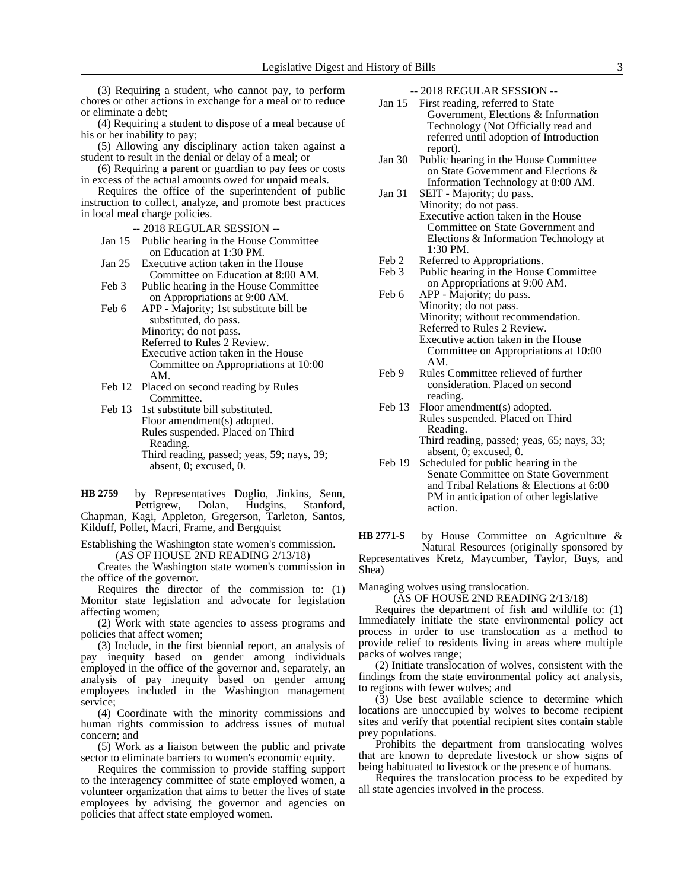(3) Requiring a student, who cannot pay, to perform chores or other actions in exchange for a meal or to reduce or eliminate a debt;

(4) Requiring a student to dispose of a meal because of his or her inability to pay;

(5) Allowing any disciplinary action taken against a student to result in the denial or delay of a meal; or

(6) Requiring a parent or guardian to pay fees or costs in excess of the actual amounts owed for unpaid meals.

Requires the office of the superintendent of public instruction to collect, analyze, and promote best practices in local meal charge policies.

-- 2018 REGULAR SESSION --

- Jan 15 Public hearing in the House Committee on Education at 1:30 PM.
- Jan 25 Executive action taken in the House Committee on Education at 8:00 AM.
- Feb 3 Public hearing in the House Committee on Appropriations at 9:00 AM.
- Feb 6 APP Majority; 1st substitute bill be substituted, do pass. Minority; do not pass. Referred to Rules 2 Review. Executive action taken in the House Committee on Appropriations at 10:00 AM.
- Feb 12 Placed on second reading by Rules Committee.
- Feb 13 1st substitute bill substituted. Floor amendment(s) adopted. Rules suspended. Placed on Third Reading. Third reading, passed; yeas, 59; nays, 39; absent, 0; excused, 0.

by Representatives Doglio, Jinkins, Senn, Pettigrew, Dolan, Hudgins, Stanford, Chapman, Kagi, Appleton, Gregerson, Tarleton, Santos, Kilduff, Pollet, Macri, Frame, and Bergquist **HB 2759**

Establishing the Washington state women's commission. (AS OF HOUSE 2ND READING 2/13/18)

Creates the Washington state women's commission in the office of the governor.

Requires the director of the commission to: (1) Monitor state legislation and advocate for legislation affecting women;

(2) Work with state agencies to assess programs and policies that affect women;

(3) Include, in the first biennial report, an analysis of pay inequity based on gender among individuals employed in the office of the governor and, separately, an analysis of pay inequity based on gender among employees included in the Washington management service;

(4) Coordinate with the minority commissions and human rights commission to address issues of mutual concern; and

(5) Work as a liaison between the public and private sector to eliminate barriers to women's economic equity.

Requires the commission to provide staffing support to the interagency committee of state employed women, a volunteer organization that aims to better the lives of state employees by advising the governor and agencies on policies that affect state employed women.

-- 2018 REGULAR SESSION --

- Jan 15 First reading, referred to State Government, Elections & Information Technology (Not Officially read and referred until adoption of Introduction report).
- Jan 30 Public hearing in the House Committee on State Government and Elections & Information Technology at 8:00 AM.
- Jan 31 SEIT Majority; do pass. Minority; do not pass. Executive action taken in the House Committee on State Government and Elections & Information Technology at 1:30 PM.
- Feb 2 Referred to Appropriations.<br>Feb 3 Public hearing in the House
- Public hearing in the House Committee on Appropriations at 9:00 AM.
- Feb 6 APP Majority; do pass. Minority; do not pass. Minority; without recommendation. Referred to Rules 2 Review. Executive action taken in the House Committee on Appropriations at 10:00 AM.
- Feb 9 Rules Committee relieved of further consideration. Placed on second reading.
- Feb 13 Floor amendment(s) adopted. Rules suspended. Placed on Third Reading. Third reading, passed; yeas, 65; nays, 33;
- absent, 0; excused, 0. Feb 19 Scheduled for public hearing in the Senate Committee on State Government and Tribal Relations & Elections at 6:00 PM in anticipation of other legislative action.

by House Committee on Agriculture & Natural Resources (originally sponsored by Representatives Kretz, Maycumber, Taylor, Buys, and Shea) **HB 2771-S**

Managing wolves using translocation.

(AS OF HOUSE 2ND READING 2/13/18)

Requires the department of fish and wildlife to: (1) Immediately initiate the state environmental policy act process in order to use translocation as a method to provide relief to residents living in areas where multiple packs of wolves range;

(2) Initiate translocation of wolves, consistent with the findings from the state environmental policy act analysis, to regions with fewer wolves; and

(3) Use best available science to determine which locations are unoccupied by wolves to become recipient sites and verify that potential recipient sites contain stable prey populations.

Prohibits the department from translocating wolves that are known to depredate livestock or show signs of being habituated to livestock or the presence of humans.

Requires the translocation process to be expedited by all state agencies involved in the process.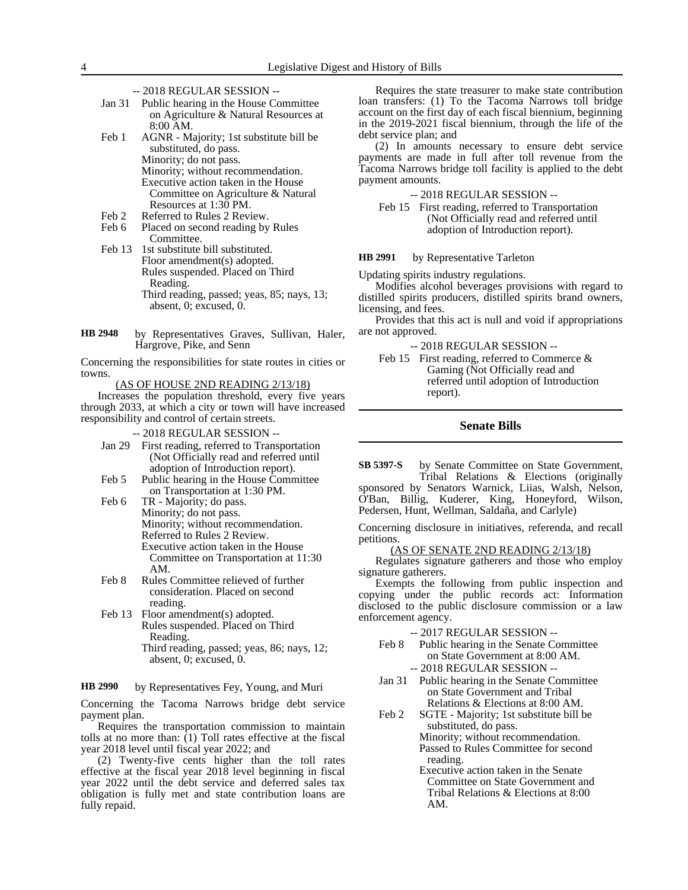- -- 2018 REGULAR SESSION --
- Jan 31 Public hearing in the House Committee on Agriculture & Natural Resources at 8:00 AM.

Feb 1 AGNR - Majority; 1st substitute bill be substituted, do pass. Minority; do not pass. Minority; without recommendation. Executive action taken in the House Committee on Agriculture & Natural Resources at 1:30 PM.

- Feb 2 Referred to Rules 2 Review.
- Feb 6 Placed on second reading by Rules Committee.
- Feb 13 1st substitute bill substituted. Floor amendment(s) adopted. Rules suspended. Placed on Third Reading. Third reading, passed; yeas, 85; nays, 13; absent, 0; excused, 0.
- by Representatives Graves, Sullivan, Haler, Hargrove, Pike, and Senn **HB 2948**

Concerning the responsibilities for state routes in cities or towns.

(AS OF HOUSE 2ND READING 2/13/18)

Increases the population threshold, every five years through 2033, at which a city or town will have increased responsibility and control of certain streets.

-- 2018 REGULAR SESSION --

- Jan 29 First reading, referred to Transportation (Not Officially read and referred until adoption of Introduction report).
- Feb 5 Public hearing in the House Committee on Transportation at 1:30 PM.
- Feb 6 TR Majority; do pass. Minority; do not pass. Minority; without recommendation. Referred to Rules 2 Review. Executive action taken in the House Committee on Transportation at 11:30 AM.
- Feb 8 Rules Committee relieved of further consideration. Placed on second reading.
- Feb 13 Floor amendment(s) adopted. Rules suspended. Placed on Third Reading. Third reading, passed; yeas, 86; nays, 12;

absent, 0; excused, 0.

by Representatives Fey, Young, and Muri **HB 2990**

Concerning the Tacoma Narrows bridge debt service payment plan.

Requires the transportation commission to maintain tolls at no more than: (1) Toll rates effective at the fiscal year 2018 level until fiscal year 2022; and

(2) Twenty-five cents higher than the toll rates effective at the fiscal year 2018 level beginning in fiscal year 2022 until the debt service and deferred sales tax obligation is fully met and state contribution loans are fully repaid.

Requires the state treasurer to make state contribution loan transfers: (1) To the Tacoma Narrows toll bridge account on the first day of each fiscal biennium, beginning in the 2019-2021 fiscal biennium, through the life of the debt service plan; and

(2) In amounts necessary to ensure debt service payments are made in full after toll revenue from the Tacoma Narrows bridge toll facility is applied to the debt payment amounts.

-- 2018 REGULAR SESSION --

Feb 15 First reading, referred to Transportation (Not Officially read and referred until adoption of Introduction report).

#### by Representative Tarleton **HB 2991**

Updating spirits industry regulations.

Modifies alcohol beverages provisions with regard to distilled spirits producers, distilled spirits brand owners, licensing, and fees.

Provides that this act is null and void if appropriations are not approved.

-- 2018 REGULAR SESSION --

Feb 15 First reading, referred to Commerce & Gaming (Not Officially read and referred until adoption of Introduction report).

# **Senate Bills**

by Senate Committee on State Government, Tribal Relations & Elections (originally sponsored by Senators Warnick, Liias, Walsh, Nelson, O'Ban, Billig, Kuderer, King, Honeyford, Wilson, Pedersen, Hunt, Wellman, Saldaña, and Carlyle) **SB 5397-S**

Concerning disclosure in initiatives, referenda, and recall petitions.

### AS OF SENATE 2ND READING 2/13/18)

Regulates signature gatherers and those who employ signature gatherers.

Exempts the following from public inspection and copying under the public records act: Information disclosed to the public disclosure commission or a law enforcement agency.

-- 2017 REGULAR SESSION --

- Feb 8 Public hearing in the Senate Committee on State Government at 8:00 AM. -- 2018 REGULAR SESSION --
- Jan 31 Public hearing in the Senate Committee on State Government and Tribal Relations & Elections at 8:00 AM.
- Feb 2 SGTE Majority; 1st substitute bill be substituted, do pass.
	- Minority; without recommendation. Passed to Rules Committee for second reading.
	- Executive action taken in the Senate Committee on State Government and Tribal Relations & Elections at 8:00 AM.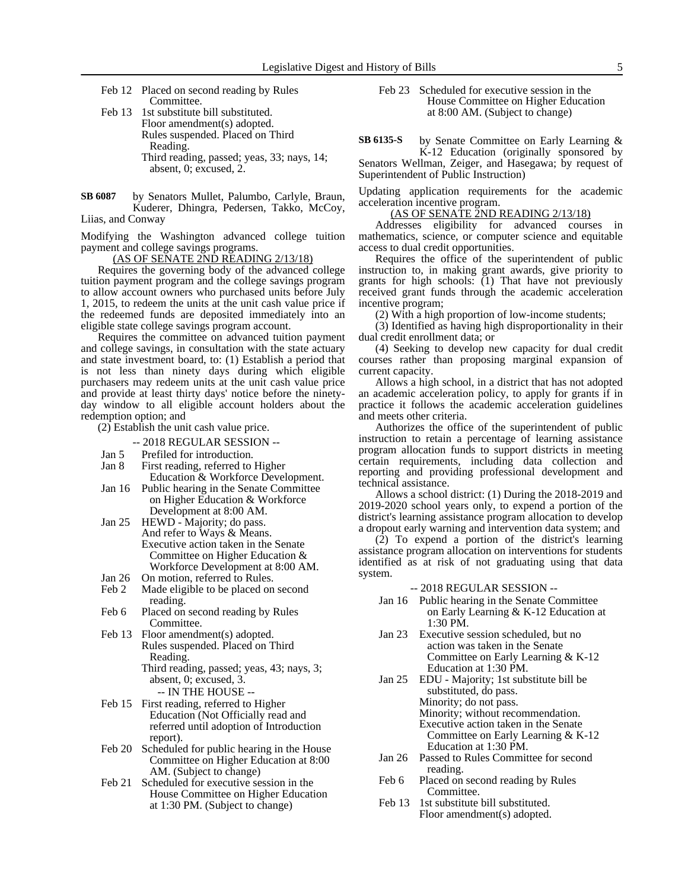Feb 12 Placed on second reading by Rules Committee.

- Feb 13 1st substitute bill substituted. Floor amendment(s) adopted. Rules suspended. Placed on Third Reading. Third reading, passed; yeas, 33; nays, 14; absent, 0; excused, 2.
- by Senators Mullet, Palumbo, Carlyle, Braun, Kuderer, Dhingra, Pedersen, Takko, McCoy, Liias, and Conway **SB 6087**

Modifying the Washington advanced college tuition payment and college savings programs.

(AS OF SENATE 2ND READING 2/13/18)

Requires the governing body of the advanced college tuition payment program and the college savings program to allow account owners who purchased units before July 1, 2015, to redeem the units at the unit cash value price if the redeemed funds are deposited immediately into an eligible state college savings program account.

Requires the committee on advanced tuition payment and college savings, in consultation with the state actuary and state investment board, to: (1) Establish a period that is not less than ninety days during which eligible purchasers may redeem units at the unit cash value price and provide at least thirty days' notice before the ninetyday window to all eligible account holders about the redemption option; and

(2) Establish the unit cash value price.

- -- 2018 REGULAR SESSION --
- Jan 5 Prefiled for introduction.
- Jan 8 First reading, referred to Higher
- Education & Workforce Development. Jan 16 Public hearing in the Senate Committee on Higher Education & Workforce
- Development at 8:00 AM. Jan 25 HEWD - Majority; do pass.
- And refer to Ways & Means. Executive action taken in the Senate Committee on Higher Education & Workforce Development at 8:00 AM.
- Jan 26 On motion, referred to Rules.
- Feb 2 Made eligible to be placed on second reading.
- Feb 6 Placed on second reading by Rules Committee.
- Feb 13 Floor amendment(s) adopted. Rules suspended. Placed on Third Reading.
	- Third reading, passed; yeas, 43; nays, 3; absent, 0; excused, 3. -- IN THE HOUSE --
- Feb 15 First reading, referred to Higher Education (Not Officially read and referred until adoption of Introduction report).
- Feb 20 Scheduled for public hearing in the House Committee on Higher Education at 8:00 AM. (Subject to change)
- Feb 21 Scheduled for executive session in the House Committee on Higher Education at 1:30 PM. (Subject to change)

Feb 23 Scheduled for executive session in the House Committee on Higher Education at 8:00 AM. (Subject to change)

by Senate Committee on Early Learning & K-12 Education (originally sponsored by **SB 6135-S**

Senators Wellman, Zeiger, and Hasegawa; by request of Superintendent of Public Instruction)

Updating application requirements for the academic acceleration incentive program.

### (AS OF SENATE 2ND READING 2/13/18)

Addresses eligibility for advanced courses in mathematics, science, or computer science and equitable access to dual credit opportunities.

Requires the office of the superintendent of public instruction to, in making grant awards, give priority to grants for high schools: (1) That have not previously received grant funds through the academic acceleration incentive program;

(2) With a high proportion of low-income students;

(3) Identified as having high disproportionality in their dual credit enrollment data; or

(4) Seeking to develop new capacity for dual credit courses rather than proposing marginal expansion of current capacity.

Allows a high school, in a district that has not adopted an academic acceleration policy, to apply for grants if in practice it follows the academic acceleration guidelines and meets other criteria.

Authorizes the office of the superintendent of public instruction to retain a percentage of learning assistance program allocation funds to support districts in meeting certain requirements, including data collection and reporting and providing professional development and technical assistance.

Allows a school district: (1) During the 2018-2019 and 2019-2020 school years only, to expend a portion of the district's learning assistance program allocation to develop a dropout early warning and intervention data system; and

(2) To expend a portion of the district's learning assistance program allocation on interventions for students identified as at risk of not graduating using that data system.

- -- 2018 REGULAR SESSION --
- Jan 16 Public hearing in the Senate Committee on Early Learning & K-12 Education at 1:30 PM.
- Jan 23 Executive session scheduled, but no action was taken in the Senate Committee on Early Learning & K-12 Education at 1:30 PM.
- Jan 25 EDU Majority; 1st substitute bill be substituted, do pass. Minority; do not pass. Minority; without recommendation. Executive action taken in the Senate Committee on Early Learning & K-12 Education at 1:30 PM.
- Jan 26 Passed to Rules Committee for second reading.
- Feb 6 Placed on second reading by Rules Committee.
- Feb 13 1st substitute bill substituted. Floor amendment(s) adopted.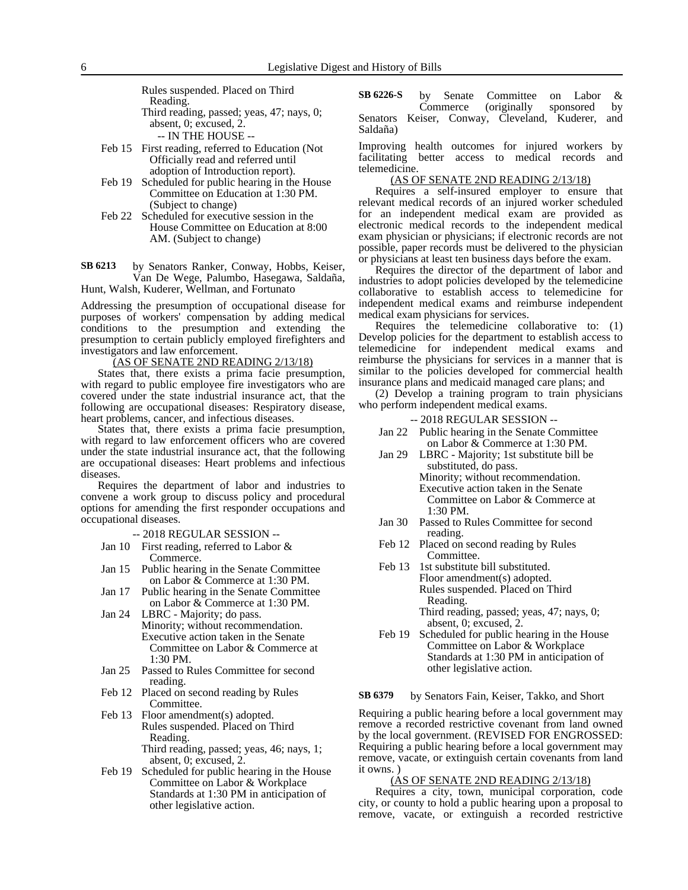Rules suspended. Placed on Third Reading. Third reading, passed; yeas, 47; nays, 0;

absent, 0; excused, 2.

-- IN THE HOUSE --

- Feb 15 First reading, referred to Education (Not Officially read and referred until adoption of Introduction report).
- Feb 19 Scheduled for public hearing in the House Committee on Education at 1:30 PM. (Subject to change)
- Feb 22 Scheduled for executive session in the House Committee on Education at 8:00 AM. (Subject to change)

by Senators Ranker, Conway, Hobbs, Keiser, Van De Wege, Palumbo, Hasegawa, Saldaña, Hunt, Walsh, Kuderer, Wellman, and Fortunato **SB 6213**

Addressing the presumption of occupational disease for purposes of workers' compensation by adding medical conditions to the presumption and extending the presumption to certain publicly employed firefighters and investigators and law enforcement.

(AS OF SENATE 2ND READING 2/13/18)

States that, there exists a prima facie presumption, with regard to public employee fire investigators who are covered under the state industrial insurance act, that the following are occupational diseases: Respiratory disease, heart problems, cancer, and infectious diseases.

States that, there exists a prima facie presumption, with regard to law enforcement officers who are covered under the state industrial insurance act, that the following are occupational diseases: Heart problems and infectious diseases.

Requires the department of labor and industries to convene a work group to discuss policy and procedural options for amending the first responder occupations and occupational diseases.

-- 2018 REGULAR SESSION --

- Jan 10 First reading, referred to Labor & Commerce.
- Jan 15 Public hearing in the Senate Committee on Labor & Commerce at 1:30 PM.
- Jan 17 Public hearing in the Senate Committee on Labor & Commerce at 1:30 PM.
- Jan 24 LBRC Majority; do pass. Minority; without recommendation. Executive action taken in the Senate Committee on Labor & Commerce at 1:30 PM.
- Jan 25 Passed to Rules Committee for second reading.
- Feb 12 Placed on second reading by Rules Committee.
- Feb 13 Floor amendment(s) adopted. Rules suspended. Placed on Third Reading.

Third reading, passed; yeas, 46; nays, 1; absent, 0; excused, 2.

Feb 19 Scheduled for public hearing in the House Committee on Labor & Workplace Standards at 1:30 PM in anticipation of other legislative action.

by Senate Committee on Labor & Commerce (originally sponsored by Senators Keiser, Conway, Cleveland, Kuderer, and Saldaña) **SB 6226-S**

Improving health outcomes for injured workers by facilitating better access to medical records and telemedicine.

#### (AS OF SENATE 2ND READING 2/13/18)

Requires a self-insured employer to ensure that relevant medical records of an injured worker scheduled for an independent medical exam are provided as electronic medical records to the independent medical exam physician or physicians; if electronic records are not possible, paper records must be delivered to the physician or physicians at least ten business days before the exam.

Requires the director of the department of labor and industries to adopt policies developed by the telemedicine collaborative to establish access to telemedicine for independent medical exams and reimburse independent medical exam physicians for services.

Requires the telemedicine collaborative to: (1) Develop policies for the department to establish access to telemedicine for independent medical exams and reimburse the physicians for services in a manner that is similar to the policies developed for commercial health insurance plans and medicaid managed care plans; and

(2) Develop a training program to train physicians who perform independent medical exams.

- -- 2018 REGULAR SESSION --
- Jan 22 Public hearing in the Senate Committee on Labor & Commerce at 1:30 PM.
- Jan 29 LBRC Majority; 1st substitute bill be substituted, do pass. Minority; without recommendation. Executive action taken in the Senate Committee on Labor & Commerce at 1:30 PM.
- Jan 30 Passed to Rules Committee for second reading.
- Feb 12 Placed on second reading by Rules Committee.
- Feb 13 1st substitute bill substituted. Floor amendment(s) adopted. Rules suspended. Placed on Third Reading. Third reading, passed; yeas, 47; nays, 0;
- absent, 0; excused, 2. Feb 19 Scheduled for public hearing in the House Committee on Labor & Workplace Standards at 1:30 PM in anticipation of other legislative action.

#### by Senators Fain, Keiser, Takko, and Short **SB 6379**

Requiring a public hearing before a local government may remove a recorded restrictive covenant from land owned by the local government. (REVISED FOR ENGROSSED: Requiring a public hearing before a local government may remove, vacate, or extinguish certain covenants from land it owns. )

#### (AS OF SENATE 2ND READING 2/13/18)

Requires a city, town, municipal corporation, code city, or county to hold a public hearing upon a proposal to remove, vacate, or extinguish a recorded restrictive